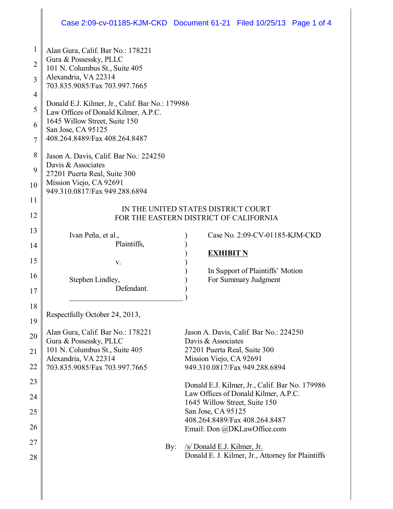# Case 2:09-cv-01185-KJM-CKD Document 61-21 Filed 10/25/13 Page 1 of 4

| 1              | Alan Gura, Calif. Bar No.: 178221                                                       |                                                                                        |  |
|----------------|-----------------------------------------------------------------------------------------|----------------------------------------------------------------------------------------|--|
| $\overline{2}$ | Gura & Possessky, PLLC                                                                  |                                                                                        |  |
|                | 101 N. Columbus St., Suite 405<br>Alexandria, VA 22314                                  |                                                                                        |  |
| 3              | 703.835.9085/Fax 703.997.7665                                                           |                                                                                        |  |
| 4              |                                                                                         |                                                                                        |  |
| 5              | Donald E.J. Kilmer, Jr., Calif. Bar No.: 179986<br>Law Offices of Donald Kilmer, A.P.C. |                                                                                        |  |
| 6              | 1645 Willow Street, Suite 150                                                           |                                                                                        |  |
| 7              | San Jose, CA 95125<br>408.264.8489/Fax 408.264.8487                                     |                                                                                        |  |
|                |                                                                                         |                                                                                        |  |
| 8              | Jason A. Davis, Calif. Bar No.: 224250<br>Davis & Associates                            |                                                                                        |  |
| 9              | 27201 Puerta Real, Suite 300                                                            |                                                                                        |  |
| 10             | Mission Viejo, CA 92691                                                                 |                                                                                        |  |
| 11             | 949.310.0817/Fax 949.288.6894                                                           |                                                                                        |  |
| 12             | IN THE UNITED STATES DISTRICT COURT                                                     |                                                                                        |  |
|                | FOR THE EASTERN DISTRICT OF CALIFORNIA                                                  |                                                                                        |  |
| 13             | Ivan Peña, et al.,                                                                      | Case No. 2:09-CV-01185-KJM-CKD                                                         |  |
| 14             | Plaintiffs,                                                                             | <b>EXHIBIT N</b>                                                                       |  |
| 15             | V.                                                                                      |                                                                                        |  |
| 16             | Stephen Lindley,                                                                        | In Support of Plaintiffs' Motion<br>For Summary Judgment                               |  |
| 17             | Defendant.                                                                              |                                                                                        |  |
| 18             |                                                                                         |                                                                                        |  |
|                | Respectfully October 24, 2013,                                                          |                                                                                        |  |
| 19             |                                                                                         |                                                                                        |  |
| 20             | Alan Gura, Calif. Bar No.: 178221<br>Gura & Possessky, PLLC                             | Jason A. Davis, Calif. Bar No.: 224250<br>Davis & Associates                           |  |
| 21             | 101 N. Columbus St., Suite 405                                                          | 27201 Puerta Real, Suite 300                                                           |  |
| 22             | Alexandria, VA 22314<br>703.835.9085/Fax 703.997.7665                                   | Mission Viejo, CA 92691<br>949.310.0817/Fax 949.288.6894                               |  |
| 23             |                                                                                         |                                                                                        |  |
|                |                                                                                         | Donald E.J. Kilmer, Jr., Calif. Bar No. 179986<br>Law Offices of Donald Kilmer, A.P.C. |  |
| 24             |                                                                                         | 1645 Willow Street, Suite 150                                                          |  |
| 25             |                                                                                         | San Jose, CA 95125                                                                     |  |
| 26             |                                                                                         | 408.264.8489/Fax 408.264.8487<br>Email: Don @DKLawOffice.com                           |  |
| 27             |                                                                                         |                                                                                        |  |
| 28             | By:                                                                                     | /s/ Donald E.J. Kilmer, Jr.<br>Donald E. J. Kilmer, Jr., Attorney for Plaintiffs       |  |
|                |                                                                                         |                                                                                        |  |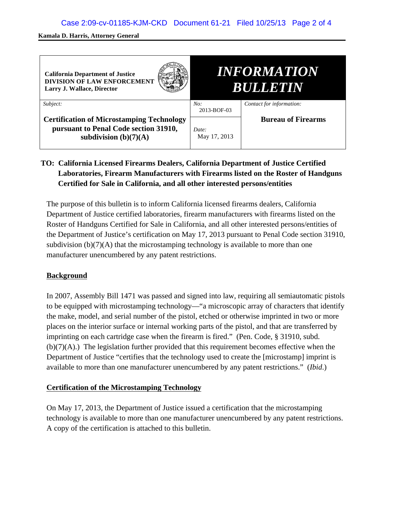#### **Kamala D. Harris, Attorney General**

| <b>California Department of Justice</b><br><b>DIVISION OF LAW ENFORCEMENT</b><br>Larry J. Wallace, Director          | <i><b>INFORMATION</b></i><br><b>BULLETIN</b> |                           |
|----------------------------------------------------------------------------------------------------------------------|----------------------------------------------|---------------------------|
| Subject:                                                                                                             | No:<br>2013-BOF-03                           | Contact for information:  |
| <b>Certification of Microstamping Technology</b><br>pursuant to Penal Code section 31910,<br>subdivision $(b)(7)(A)$ | Date:<br>May 17, 2013                        | <b>Bureau of Firearms</b> |

## **TO: California Licensed Firearms Dealers, California Department of Justice Certified Laboratories, Firearm Manufacturers with Firearms listed on the Roster of Handguns Certified for Sale in California, and all other interested persons/entities**

The purpose of this bulletin is to inform California licensed firearms dealers, California Department of Justice certified laboratories, firearm manufacturers with firearms listed on the Roster of Handguns Certified for Sale in California, and all other interested persons/entities of the Department of Justice's certification on May 17, 2013 pursuant to Penal Code section 31910, subdivision  $(b)(7)(A)$  that the microstamping technology is available to more than one manufacturer unencumbered by any patent restrictions.

## **Background**

In 2007, Assembly Bill 1471 was passed and signed into law, requiring all semiautomatic pistols to be equipped with microstamping technology—"a microscopic array of characters that identify the make, model, and serial number of the pistol, etched or otherwise imprinted in two or more places on the interior surface or internal working parts of the pistol, and that are transferred by imprinting on each cartridge case when the firearm is fired." (Pen. Code, § 31910, subd.  $(b)(7)(A)$ .) The legislation further provided that this requirement becomes effective when the Department of Justice "certifies that the technology used to create the [microstamp] imprint is available to more than one manufacturer unencumbered by any patent restrictions." (*Ibid*.)

## **Certification of the Microstamping Technology**

On May 17, 2013, the Department of Justice issued a certification that the microstamping technology is available to more than one manufacturer unencumbered by any patent restrictions. A copy of the certification is attached to this bulletin.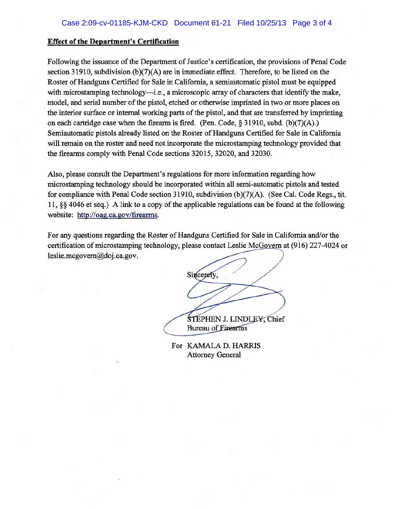#### **Effect of the Department's Certification**

Following the issuance of the Department of Justice's certification, the provisions of Penal Code section 31910, subdivision  $(b)(7)(A)$  are in immediate effect. Therefore, to be listed on the Roster of Handguns Certified for Sale in California, a semiautomatic pistol must be equipped with microstamping technology—i.e., a microscopic array of characters that identify the make, model, and serial number of the pistol, etched or otherwise imprinted in two or more places on the interior surface or internal working parts of the pistol, and that are transferred by imprinting on each cartridge case when the firearm is fired. (Pen. Code,  $\S$  31910, subd. (b)(7)(A).) Semiautomatic pistols already listed on the Roster of Handguns Certified for Sale in California will remain on the roster and need not incorporate the microstamping technology provided that the firearms comply with Penal Code sections 32015, 32020, and 32030.

Also, please consult the Department's regulations for more information regarding how microstamping technology should be incorporated within all semi-automatic pistols and tested for compliance with Penal Code section 31910, subdivision (b)(7)(A). (See Cal. Code Regs., tit. 11, *§§* 4046 et seq.) A link to a copy of the applicable regulations can be found at the following website: http://oag.ca.gov/firearms.

For any questions regarding the Roster of Handguns Certified for Sale in California and/or the certification of microstamping technology, please contact Leslie McGovern at (916) 227-4024 or leslie.mcgovem@doj .ca.gov.

Sincerely, STEPHEN J. LINDLEY, Chief

**Bureau of Eirearms** 

For KAMALA D. HARRIS Attorney General